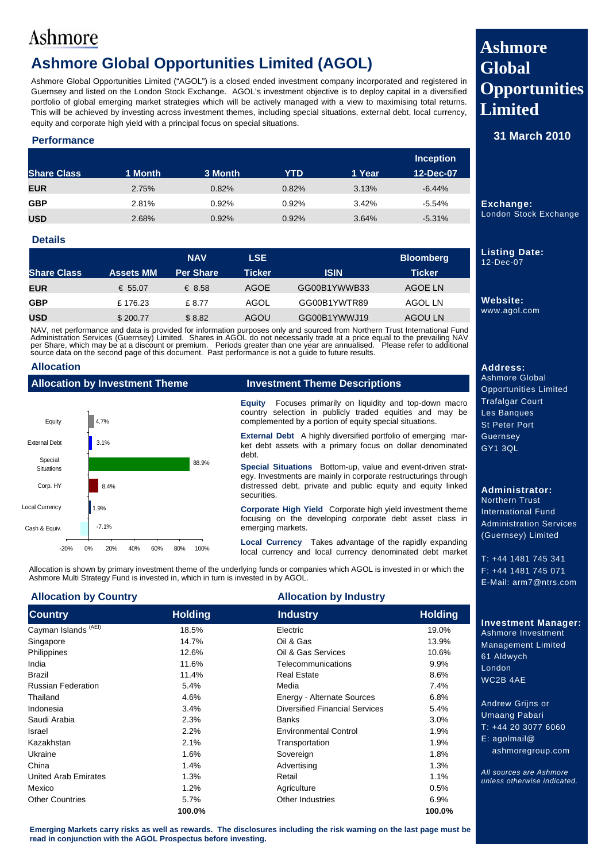## **Ashmore Global Opportunities Limited (AGOL)**

Ashmore Global Opportunities Limited ("AGOL") is a closed ended investment company incorporated and registered in Guernsey and listed on the London Stock Exchange. AGOL's investment objective is to deploy capital in a diversified portfolio of global emerging market strategies which will be actively managed with a view to maximising total returns. This will be achieved by investing across investment themes, including special situations, external debt, local currency, equity and corporate high yield with a principal focus on special situations.

### **Performance**

|                    |         |         |       |        | <b>Inception</b> |
|--------------------|---------|---------|-------|--------|------------------|
| <b>Share Class</b> | 1 Month | 3 Month | YTD   | 1 Year | 12-Dec-07        |
| <b>EUR</b>         | 2.75%   | 0.82%   | 0.82% | 3.13%  | $-6.44%$         |
| <b>GBP</b>         | 2.81%   | 0.92%   | 0.92% | 3.42%  | $-5.54\%$        |
| <b>USD</b>         | 2.68%   | 0.92%   | 0.92% | 3.64%  | $-5.31%$         |

### **Details**

|                    |                  | <b>NAV</b>       | <b>LSE</b> |              | <b>Bloomberg</b> |
|--------------------|------------------|------------------|------------|--------------|------------------|
| <b>Share Class</b> | <b>Assets MM</b> | <b>Per Share</b> | Ticker     | <b>ISIN</b>  | <b>Ticker</b>    |
| <b>EUR</b>         | € 55.07          | € 8.58           | AGOE       | GG00B1YWWB33 | AGOE LN          |
| <b>GBP</b>         | £176.23          | £ 8.77           | AGOL       | GG00B1YWTR89 | AGOL LN          |
| <b>USD</b>         | \$200.77         | \$8.82           | AGOU       | GG00B1YWWJ19 | AGOU LN          |

NAV, net performance and data is provided for information purposes only and sourced from Northern Trust International Fund<br>Administration Services (Guernsey) Limited. Shares in AGOL do not necessarily trade at a price equa

### **Allocation**

| Allocation by Investment Theme | inve:                          |                                     |
|--------------------------------|--------------------------------|-------------------------------------|
| Equity                         | 4.7%                           | <b>Equity</b><br>country<br>compler |
| <b>External Debt</b>           | 3.1%                           | <b>Externa</b><br>ket deb<br>debt.  |
| Special<br><b>Situations</b>   |                                | 88.9%<br><b>Special</b>             |
| Corp. HY                       | 8.4%                           | egy. Inv<br>distress<br>securitie   |
| <b>Local Currency</b>          | 1.9%                           | Corpor                              |
| Cash & Equiv.                  | $-7.1%$                        | focusino<br>emergir                 |
| $-20%$                         | 0%<br>20%<br>40%<br>60%<br>80% | Local (<br>100%<br>local cu         |

**Equity** Focuses primarily on liquidity and top-down macro selection in publicly traded equities and may be mented by a portion of equity special situations.

**Allacer Steate Theme Descriptions** 

al Debt A highly diversified portfolio of emerging marot assets with a primary focus on dollar denominated

**Situations** Bottom-up, value and event-driven stratestments are mainly in corporate restructurings through sed debt, private and public equity and equity linked es.

**Cate High Yield** Corporate high yield investment theme g on the developing corporate debt asset class in ng markets.

**Local Currency** Takes advantage of the rapidly expanding urrency and local currency denominated debt market

Allocation is shown by primary investment theme of the underlying funds or companies which AGOL is invested in or which the Ashmore Multi Strategy Fund is invested in, which in turn is invested in by AGOL.

### **Allocation by Country Allocation by Industry**

| <b>Country</b>                  | <b>Holding</b> | <b>Industry</b>                       | <b>Holding</b> |                                                        |
|---------------------------------|----------------|---------------------------------------|----------------|--------------------------------------------------------|
| Cayman Islands <sup>(AEI)</sup> | 18.5%          | Electric                              | 19.0%          | <b>Investment Manager:</b><br>Ashmore Investment       |
| Singapore                       | 14.7%          | Oil & Gas                             | 13.9%          | <b>Management Limited</b>                              |
| Philippines                     | 12.6%          | Oil & Gas Services                    | 10.6%          | 61 Aldwych                                             |
| India                           | 11.6%          | Telecommunications                    | 9.9%           | London                                                 |
| <b>Brazil</b>                   | 11.4%          | <b>Real Estate</b>                    | 8.6%           | WC2B 4AE                                               |
| <b>Russian Federation</b>       | 5.4%           | Media                                 | 7.4%           |                                                        |
| Thailand                        | 4.6%           | Energy - Alternate Sources            | 6.8%           |                                                        |
| Indonesia                       | 3.4%           | <b>Diversified Financial Services</b> | 5.4%           | Andrew Grijns or                                       |
| Saudi Arabia                    | 2.3%           | <b>Banks</b>                          | 3.0%           | <b>Umaang Pabari</b>                                   |
| Israel                          | 2.2%           | <b>Environmental Control</b>          | 1.9%           | $T: +442030776060$                                     |
| Kazakhstan                      | 2.1%           | Transportation                        | 1.9%           | E: aqolmail@                                           |
| Ukraine                         | 1.6%           | Sovereign                             | 1.8%           | ashmoregroup.com                                       |
| China                           | 1.4%           | Advertising                           | 1.3%           |                                                        |
| <b>United Arab Emirates</b>     | 1.3%           | Retail                                | 1.1%           | All sources are Ashmore<br>unless otherwise indicated. |
| Mexico                          | 1.2%           | Agriculture                           | 0.5%           |                                                        |
| <b>Other Countries</b>          | 5.7%           | Other Industries                      | 6.9%           |                                                        |
|                                 | 100.0%         |                                       | 100.0%         |                                                        |

**Emerging Markets carry risks as well as rewards. The disclosures including the risk warning on the last page must be read in conjunction with the AGOL Prospectus before investing.** 

## **Ashmore Global Opportunities Limited**

**31 March 2010** 

**Exchange:**  London Stock Exchange

**Listing Date:**  12-Dec-07

**Website:**  www.agol.com

**Address:**  Ashmore Global Opportunities Limited Trafalgar Court Les Banques St Peter Port **Guernsey** GY1 3QL

#### **Administrator:**  Northern Trust International Fund Administration Services (Guernsey) Limited

T: +44 1481 745 341 F: +44 1481 745 071 E-Mail: arm7@ntrs.com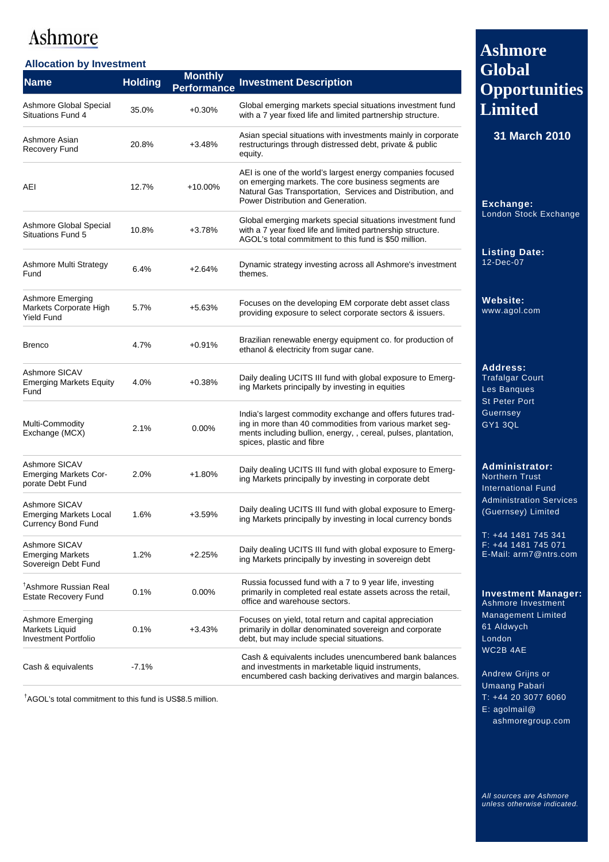### **Allocation by Investment**

| <b>Name</b>                                                                 | <b>Holding</b> | <b>Monthly</b><br><b>Performance</b> | <b>Investment Description</b>                                                                                                                                                                                          |
|-----------------------------------------------------------------------------|----------------|--------------------------------------|------------------------------------------------------------------------------------------------------------------------------------------------------------------------------------------------------------------------|
| Ashmore Global Special<br><b>Situations Fund 4</b>                          | 35.0%          | $+0.30%$                             | Global emerging markets special situations investment fund<br>with a 7 year fixed life and limited partnership structure.                                                                                              |
| Ashmore Asian<br><b>Recovery Fund</b>                                       | 20.8%          | $+3.48%$                             | Asian special situations with investments mainly in corporate<br>restructurings through distressed debt, private & public<br>equity.                                                                                   |
| AEI                                                                         | 12.7%          | $+10.00\%$                           | AEI is one of the world's largest energy companies focused<br>on emerging markets. The core business segments are<br>Natural Gas Transportation, Services and Distribution, and<br>Power Distribution and Generation.  |
| Ashmore Global Special<br>Situations Fund 5                                 | 10.8%          | $+3.78%$                             | Global emerging markets special situations investment fund<br>with a 7 year fixed life and limited partnership structure.<br>AGOL's total commitment to this fund is \$50 million.                                     |
| Ashmore Multi Strategy<br>Fund                                              | 6.4%           | $+2.64%$                             | Dynamic strategy investing across all Ashmore's investment<br>themes.                                                                                                                                                  |
| <b>Ashmore Emerging</b><br>Markets Corporate High<br><b>Yield Fund</b>      | 5.7%           | $+5.63%$                             | Focuses on the developing EM corporate debt asset class<br>providing exposure to select corporate sectors & issuers.                                                                                                   |
| <b>Brenco</b>                                                               | 4.7%           | $+0.91%$                             | Brazilian renewable energy equipment co. for production of<br>ethanol & electricity from sugar cane.                                                                                                                   |
| Ashmore SICAV<br><b>Emerging Markets Equity</b><br>Fund                     | 4.0%           | $+0.38%$                             | Daily dealing UCITS III fund with global exposure to Emerg-<br>ing Markets principally by investing in equities                                                                                                        |
| Multi-Commodity<br>Exchange (MCX)                                           | 2.1%           | 0.00%                                | India's largest commodity exchange and offers futures trad-<br>ing in more than 40 commodities from various market seg-<br>ments including bullion, energy, , cereal, pulses, plantation,<br>spices, plastic and fibre |
| Ashmore SICAV<br><b>Emerging Markets Cor-</b><br>porate Debt Fund           | 2.0%           | $+1.80%$                             | Daily dealing UCITS III fund with global exposure to Emerg-<br>ing Markets principally by investing in corporate debt                                                                                                  |
| Ashmore SICAV<br><b>Emerging Markets Local</b><br><b>Currency Bond Fund</b> | 1.6%           | $+3.59%$                             | Daily dealing UCITS III fund with global exposure to Emerg-<br>ing Markets principally by investing in local currency bonds                                                                                            |
| Ashmore SICAV<br><b>Emerging Markets</b><br>Sovereign Debt Fund             | 1.2%           | $+2.25%$                             | Daily dealing UCITS III fund with global exposure to Emerg-<br>ing Markets principally by investing in sovereign debt                                                                                                  |
| <sup>T</sup> Ashmore Russian Real<br><b>Estate Recovery Fund</b>            | 0.1%           | 0.00%                                | Russia focussed fund with a 7 to 9 year life, investing<br>primarily in completed real estate assets across the retail,<br>office and warehouse sectors.                                                               |
| Ashmore Emerging<br>Markets Liquid<br>Investment Portfolio                  | 0.1%           | $+3.43%$                             | Focuses on yield, total return and capital appreciation<br>primarily in dollar denominated sovereign and corporate<br>debt, but may include special situations.                                                        |
| Cash & equivalents                                                          | $-7.1%$        |                                      | Cash & equivalents includes unencumbered bank balances<br>and investments in marketable liquid instruments,<br>encumbered cash backing derivatives and margin balances.                                                |

† AGOL's total commitment to this fund is US\$8.5 million.

## **Ashmore Global Opportunities Limited**

**31 March 2010** 

**Exchange:**  London Stock Exchange

**Listing Date:**  12-Dec-07

**Website:**  www.agol.com

**Address:**  Trafalgar Court Les Banques St Peter Port Guernsey GY1 3QL

### **Administrator:**  Northern Trust

International Fund Administration Services (Guernsey) Limited

T: +44 1481 745 341 F: +44 1481 745 071 E-Mail: arm7@ntrs.com

**Investment Manager:**  Ashmore Investment

Management Limited 61 Aldwych London WC2B 4AE

Andrew Grijns or Umaang Pabari T: +44 20 3077 6060 E: agolmail@ ashmoregroup.com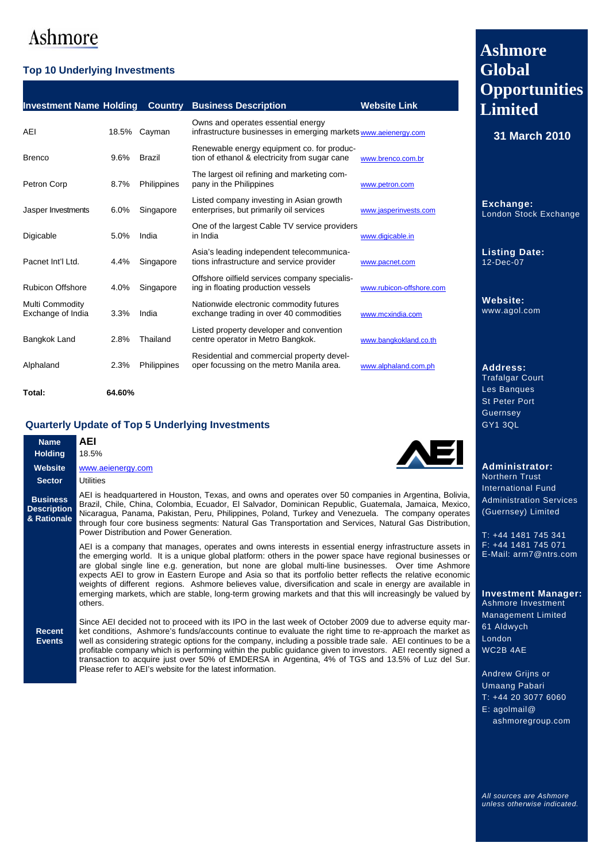### **Top 10 Underlying Investments**

| <b>Investment Name Holding</b>       |       | <b>Country</b> | <b>Business Description</b>                                                                           | <b>Website Link</b>      |
|--------------------------------------|-------|----------------|-------------------------------------------------------------------------------------------------------|--------------------------|
| AEI                                  | 18.5% | Cayman         | Owns and operates essential energy<br>infrastructure businesses in emerging markets www.aeienergy.com |                          |
| <b>Brenco</b>                        | 9.6%  | <b>Brazil</b>  | Renewable energy equipment co. for produc-<br>tion of ethanol & electricity from sugar cane           | www.brenco.com.br        |
| Petron Corp                          | 8.7%  | Philippines    | The largest oil refining and marketing com-<br>pany in the Philippines                                | www.petron.com           |
| Jasper Investments                   | 6.0%  | Singapore      | Listed company investing in Asian growth<br>enterprises, but primarily oil services                   | www.jasperinvests.com    |
| Digicable                            | 5.0%  | India          | One of the largest Cable TV service providers<br>in India                                             | www.digicable.in         |
| Pacnet Int'l Ltd.                    | 4.4%  | Singapore      | Asia's leading independent telecommunica-<br>tions infrastructure and service provider                | www.pacnet.com           |
| <b>Rubicon Offshore</b>              | 4.0%  | Singapore      | Offshore oilfield services company specialis-<br>ing in floating production vessels                   | www.rubicon-offshore.com |
| Multi Commodity<br>Exchange of India | 3.3%  | India          | Nationwide electronic commodity futures<br>exchange trading in over 40 commodities                    | www.mcxindia.com         |
| Bangkok Land                         | 2.8%  | Thailand       | Listed property developer and convention<br>centre operator in Metro Bangkok.                         | www.bangkokland.co.th    |
| Alphaland                            | 2.3%  | Philippines    | Residential and commercial property devel-<br>oper focussing on the metro Manila area.                | www.alphaland.com.ph     |
|                                      |       |                |                                                                                                       |                          |

**Total: 64.60%** 

### **Quarterly Update of Top 5 Underlying Investments**

| <b>Name</b><br><b>Holding</b>                        | AEI<br><b>AEI</b><br>18.5%                                                                                                                                                                                                                                                                                                                                                                                                                                                                                                                                                                                                                                                        |                                                |
|------------------------------------------------------|-----------------------------------------------------------------------------------------------------------------------------------------------------------------------------------------------------------------------------------------------------------------------------------------------------------------------------------------------------------------------------------------------------------------------------------------------------------------------------------------------------------------------------------------------------------------------------------------------------------------------------------------------------------------------------------|------------------------------------------------|
| <b>Website</b><br><b>Sector</b>                      | www.aeienergy.com<br>Utilities                                                                                                                                                                                                                                                                                                                                                                                                                                                                                                                                                                                                                                                    | Ad<br><b>No</b>                                |
| <b>Business</b><br><b>Description</b><br>& Rationale | AEI is headquartered in Houston, Texas, and owns and operates over 50 companies in Argentina, Bolivia,<br>Brazil, Chile, China, Colombia, Ecuador, El Salvador, Dominican Republic, Guatemala, Jamaica, Mexico,<br>Nicaragua, Panama, Pakistan, Peru, Philippines, Poland, Turkey and Venezuela. The company operates<br>through four core business segments: Natural Gas Transportation and Services, Natural Gas Distribution,<br>Power Distribution and Power Generation.                                                                                                                                                                                                      | Inte<br>Ad<br>(G)<br>$\mathsf{T} \colon \cdot$ |
|                                                      | AEI is a company that manages, operates and owns interests in essential energy infrastructure assets in<br>the emerging world. It is a unique global platform: others in the power space have regional businesses or<br>are global single line e.g. generation, but none are global multi-line businesses. Over time Ashmore<br>expects AEI to grow in Eastern Europe and Asia so that its portfolio better reflects the relative economic<br>weights of different regions. Ashmore believes value, diversification and scale in energy are available in<br>emerging markets, which are stable, long-term growing markets and that this will increasingly be valued by<br>others. | F: :<br>$E-N$<br>ln١<br>Asl                    |
| <b>Recent</b><br><b>Events</b>                       | Since AEI decided not to proceed with its IPO in the last week of October 2009 due to adverse equity mar-<br>ket conditions, Ashmore's funds/accounts continue to evaluate the right time to re-approach the market as<br>well as considering strategic options for the company, including a possible trade sale. AEI continues to be a<br>profitable company which is performing within the public quidance given to investors. AEI recently signed a<br>transaction to acquire just over 50% of EMDERSA in Argentina, 4% of TGS and 13.5% of Luz del Sur.<br>Please refer to AEI's website for the latest information.                                                          | Ma<br>61<br>Lor<br><b>WC</b><br>An             |

## **Ashmore Global Opportunities Limited**

**31 March 2010** 

**Exchange:**  London Stock Exchange

**Listing Date:**  12-Dec-07

**Website:**  www.agol.com

**Address:**  Trafalgar Court Les Banques St Peter Port Guernsey GY1 3QL

**Ministrator:** rthern Trust **Interational Fund** ministration Services uernsey) Limited

+44 1481 745 341 F: +44 1481 745 071 E-Mail: arm7@ntrs.com

**Investment Manager:**  Ashmore Investment nagement Limited **Aldwych** ndon.  $2B$  4AE

drew Grijns or Umaang Pabari T: +44 20 3077 6060 E: agolmail@ ashmoregroup.com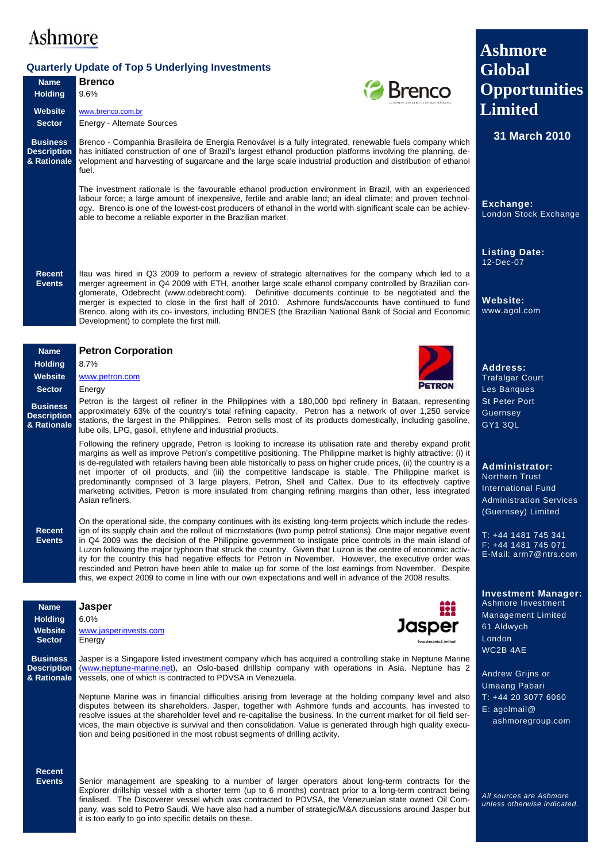## **Quarterly Update of Top 5 Underlying Investments**

|                                                      | <b>Quarterly Update of Top 5 Underlying Investments</b>                                                                                                                                                                                                                                                                                                                                                                                                                                                                                                                                                                                                                                                                                                                                                                | <b>Global</b>                                                                                                                |
|------------------------------------------------------|------------------------------------------------------------------------------------------------------------------------------------------------------------------------------------------------------------------------------------------------------------------------------------------------------------------------------------------------------------------------------------------------------------------------------------------------------------------------------------------------------------------------------------------------------------------------------------------------------------------------------------------------------------------------------------------------------------------------------------------------------------------------------------------------------------------------|------------------------------------------------------------------------------------------------------------------------------|
| <b>Name</b>                                          | <b>Brenco</b><br><b>Brenco</b>                                                                                                                                                                                                                                                                                                                                                                                                                                                                                                                                                                                                                                                                                                                                                                                         | <b>Opportunities</b>                                                                                                         |
| <b>Holding</b>                                       | 9.6%                                                                                                                                                                                                                                                                                                                                                                                                                                                                                                                                                                                                                                                                                                                                                                                                                   | <b>Limited</b>                                                                                                               |
| <b>Website</b><br><b>Sector</b>                      | www.brenco.com.br<br><b>Energy - Alternate Sources</b>                                                                                                                                                                                                                                                                                                                                                                                                                                                                                                                                                                                                                                                                                                                                                                 |                                                                                                                              |
| <b>Business</b><br><b>Description</b><br>& Rationale | Brenco - Companhia Brasileira de Energia Renovável is a fully integrated, renewable fuels company which<br>has initiated construction of one of Brazil's largest ethanol production platforms involving the planning, de-<br>velopment and harvesting of sugarcane and the large scale industrial production and distribution of ethanol<br>fuel.                                                                                                                                                                                                                                                                                                                                                                                                                                                                      | 31 March 2010                                                                                                                |
|                                                      | The investment rationale is the favourable ethanol production environment in Brazil, with an experienced<br>labour force; a large amount of inexpensive, fertile and arable land; an ideal climate; and proven technol-<br>ogy. Brenco is one of the lowest-cost producers of ethanol in the world with significant scale can be achiev-<br>able to become a reliable exporter in the Brazilian market.                                                                                                                                                                                                                                                                                                                                                                                                                | Exchange:<br>London Stock Exchange                                                                                           |
| <b>Recent</b><br><b>Events</b>                       | Itau was hired in Q3 2009 to perform a review of strategic alternatives for the company which led to a<br>merger agreement in Q4 2009 with ETH, another large scale ethanol company controlled by Brazilian con-<br>glomerate, Odebrecht (www.odebrecht.com). Definitive documents continue to be negotiated and the<br>merger is expected to close in the first half of 2010. Ashmore funds/accounts have continued to fund<br>Brenco, along with its co- investors, including BNDES (the Brazilian National Bank of Social and Economic<br>Development) to complete the first mill.                                                                                                                                                                                                                                  | <b>Listing Date:</b><br>12-Dec-07<br><b>Website:</b><br>www.agol.com                                                         |
| <b>Name</b>                                          | <b>Petron Corporation</b>                                                                                                                                                                                                                                                                                                                                                                                                                                                                                                                                                                                                                                                                                                                                                                                              |                                                                                                                              |
| <b>Holding</b>                                       | 8.7%                                                                                                                                                                                                                                                                                                                                                                                                                                                                                                                                                                                                                                                                                                                                                                                                                   | <b>Address:</b>                                                                                                              |
| <b>Website</b><br><b>Sector</b>                      | www.petron.com                                                                                                                                                                                                                                                                                                                                                                                                                                                                                                                                                                                                                                                                                                                                                                                                         | <b>Trafalgar Court</b>                                                                                                       |
|                                                      | Energy<br>Petron is the largest oil refiner in the Philippines with a 180,000 bpd refinery in Bataan, representing                                                                                                                                                                                                                                                                                                                                                                                                                                                                                                                                                                                                                                                                                                     | Les Banques<br><b>St Peter Port</b>                                                                                          |
| <b>Business</b><br><b>Description</b><br>& Rationale | approximately 63% of the country's total refining capacity. Petron has a network of over 1,250 service<br>stations, the largest in the Philippines. Petron sells most of its products domestically, including gasoline,<br>lube oils, LPG, gasoil, ethylene and industrial products.                                                                                                                                                                                                                                                                                                                                                                                                                                                                                                                                   | Guernsey<br><b>GY1 3QL</b>                                                                                                   |
|                                                      | Following the refinery upgrade, Petron is looking to increase its utilisation rate and thereby expand profit<br>margins as well as improve Petron's competitive positioning. The Philippine market is highly attractive: (i) it<br>is de-regulated with retailers having been able historically to pass on higher crude prices, (ii) the country is a<br>net importer of oil products, and (iii) the competitive landscape is stable. The Philippine market is<br>predominantly comprised of 3 large players, Petron, Shell and Caltex. Due to its effectively captive<br>marketing activities, Petron is more insulated from changing refining margins than other, less integrated<br>Asian refiners.<br>On the operational side, the company continues with its existing long-term projects which include the redes- | Administrator:<br><b>Northern Trust</b><br><b>International Fund</b><br><b>Administration Services</b><br>(Guernsey) Limited |
| <b>Recent</b><br><b>Events</b>                       | ign of its supply chain and the rollout of microstations (two pump petrol stations). One major negative event<br>in Q4 2009 was the decision of the Philippine government to instigate price controls in the main island of<br>Luzon following the major typhoon that struck the country. Given that Luzon is the centre of economic activ-<br>ity for the country this had negative effects for Petron in November. However, the executive order was<br>rescinded and Petron have been able to make up for some of the lost earnings from November. Despite<br>this, we expect 2009 to come in line with our own expectations and well in advance of the 2008 results.                                                                                                                                                | T: +44 1481 745 341<br>$F: +44$ 1481 745 071<br>E-Mail: arm7@ntrs.com                                                        |
|                                                      |                                                                                                                                                                                                                                                                                                                                                                                                                                                                                                                                                                                                                                                                                                                                                                                                                        | <b>Investment Manager:</b>                                                                                                   |
| <b>Name</b>                                          | <b>Jasper</b><br>52.<br>6.0%                                                                                                                                                                                                                                                                                                                                                                                                                                                                                                                                                                                                                                                                                                                                                                                           | Ashmore Investment<br><b>Management Limited</b>                                                                              |
| <b>Holding</b><br><b>Website</b>                     | Jasper<br>www.jasperinvests.com                                                                                                                                                                                                                                                                                                                                                                                                                                                                                                                                                                                                                                                                                                                                                                                        | 61 Aldwych                                                                                                                   |
| <b>Sector</b>                                        | Energy                                                                                                                                                                                                                                                                                                                                                                                                                                                                                                                                                                                                                                                                                                                                                                                                                 | London                                                                                                                       |
| <b>Business</b><br><b>Description</b><br>& Rationale | Jasper is a Singapore listed investment company which has acquired a controlling stake in Neptune Marine<br>(www.neptune-marine.net), an Oslo-based drillship company with operations in Asia. Neptune has 2<br>vessels, one of which is contracted to PDVSA in Venezuela.<br>Neptune Marine was in financial difficulties arising from leverage at the holding company level and also                                                                                                                                                                                                                                                                                                                                                                                                                                 | WC2B 4AE<br>Andrew Grijns or<br><b>Umaang Pabari</b><br>T: +44 20 3077 6060                                                  |
|                                                      | disputes between its shareholders. Jasper, together with Ashmore funds and accounts, has invested to<br>resolve issues at the shareholder level and re-capitalise the business. In the current market for oil field ser-<br>vices, the main objective is survival and then consolidation. Value is generated through high quality execu-<br>tion and being positioned in the most robust segments of drilling activity.                                                                                                                                                                                                                                                                                                                                                                                                | E: aqolmail@<br>ashmoregroup.com                                                                                             |
| <b>Recent</b><br><b>Events</b>                       | Senior management are speaking to a number of larger operators about long-term contracts for the<br>Explorer drillship vessel with a shorter term (up to 6 months) contract prior to a long-term contract being<br>finalised. The Discoverer vessel which was contracted to PDVSA, the Venezuelan state owned Oil Com-<br>pany, was sold to Petro Saudi. We have also had a number of strategic/M&A discussions around Jasper but<br>it is too early to go into specific details on these.                                                                                                                                                                                                                                                                                                                             | All sources are Ashmore<br>unless otherwise indicated.                                                                       |

**Ashmore**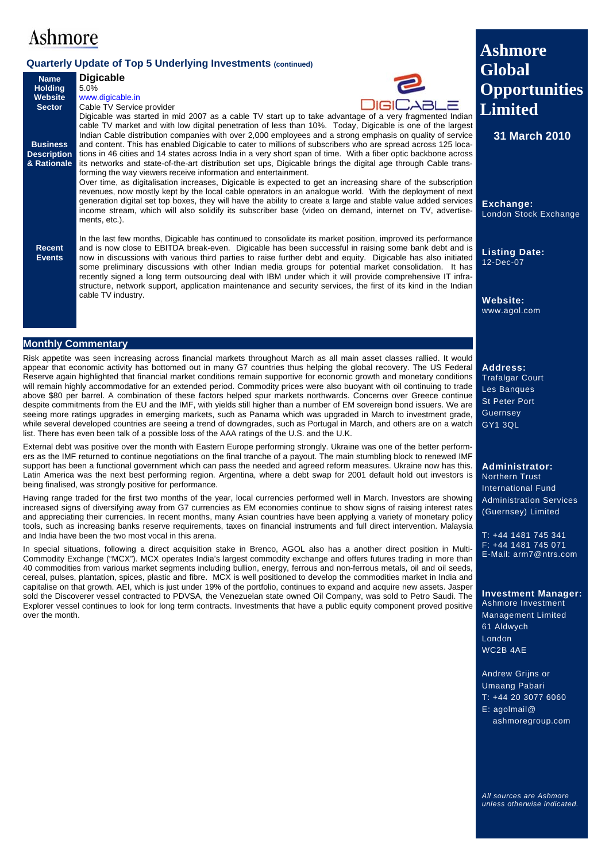### **Quarterly Update of Top 5 Underlying Investments (continued)**

|                               | Quarterly Update of Top 5 Underlying Investments (continued)                                                                                                                                                                  | <b>Global</b>                |
|-------------------------------|-------------------------------------------------------------------------------------------------------------------------------------------------------------------------------------------------------------------------------|------------------------------|
| <b>Name</b><br><b>Holding</b> | <b>Digicable</b><br>5.0%                                                                                                                                                                                                      |                              |
| <b>Website</b>                | www.digicable.in                                                                                                                                                                                                              | <b>Opportunities</b>         |
| <b>Sector</b>                 | <b>DIGICABLE</b><br>Cable TV Service provider                                                                                                                                                                                 | <b>Limited</b>               |
|                               | Digicable was started in mid 2007 as a cable TV start up to take advantage of a very fragmented Indian                                                                                                                        |                              |
|                               | cable TV market and with low digital penetration of less than 10%. Today, Digicable is one of the largest                                                                                                                     |                              |
| <b>Business</b>               | Indian Cable distribution companies with over 2,000 employees and a strong emphasis on quality of service                                                                                                                     | 31 March 2010                |
| <b>Description</b>            | and content. This has enabled Digicable to cater to millions of subscribers who are spread across 125 loca-<br>tions in 46 cities and 14 states across India in a very short span of time. With a fiber optic backbone across |                              |
| & Rationale                   | its networks and state-of-the-art distribution set ups, Digicable brings the digital age through Cable trans-                                                                                                                 |                              |
|                               | forming the way viewers receive information and entertainment.                                                                                                                                                                |                              |
|                               | Over time, as digitalisation increases, Digicable is expected to get an increasing share of the subscription                                                                                                                  |                              |
|                               | revenues, now mostly kept by the local cable operators in an analogue world. With the deployment of next                                                                                                                      |                              |
|                               | generation digital set top boxes, they will have the ability to create a large and stable value added services<br>income stream, which will also solidify its subscriber base (video on demand, internet on TV, advertise-    | Exchange:                    |
|                               | ments, etc.).                                                                                                                                                                                                                 | <b>London Stock Exchange</b> |
|                               |                                                                                                                                                                                                                               |                              |
| <b>Recent</b>                 | In the last few months, Digicable has continued to consolidate its market position, improved its performance<br>and is now close to EBITDA break-even. Digicable has been successful in raising some bank debt and is         |                              |
| <b>Events</b>                 | now in discussions with various third parties to raise further debt and equity. Digicable has also initiated                                                                                                                  | <b>Listing Date:</b>         |
|                               | some preliminary discussions with other Indian media groups for potential market consolidation. It has                                                                                                                        | 12-Dec-07                    |
|                               | recently signed a long term outsourcing deal with IBM under which it will provide comprehensive IT infra-                                                                                                                     |                              |
|                               | structure, network support, application maintenance and security services, the first of its kind in the Indian                                                                                                                |                              |
|                               | cable TV industry.                                                                                                                                                                                                            | Website:                     |
|                               |                                                                                                                                                                                                                               | www.agol.com                 |
|                               |                                                                                                                                                                                                                               |                              |

#### **Monthly Commentary**

Risk appetite was seen increasing across financial markets throughout March as all main asset classes rallied. It would appear that economic activity has bottomed out in many G7 countries thus helping the global recovery. The US Federal Reserve again highlighted that financial market conditions remain supportive for economic growth and monetary conditions will remain highly accommodative for an extended period. Commodity prices were also buoyant with oil continuing to trade above \$80 per barrel. A combination of these factors helped spur markets northwards. Concerns over Greece continue despite commitments from the EU and the IMF, with yields still higher than a number of EM sovereign bond issuers. We are seeing more ratings upgrades in emerging markets, such as Panama which was upgraded in March to investment grade, while several developed countries are seeing a trend of downgrades, such as Portugal in March, and others are on a watch list. There has even been talk of a possible loss of the AAA ratings of the U.S. and the U.K.

External debt was positive over the month with Eastern Europe performing strongly. Ukraine was one of the better performers as the IMF returned to continue negotiations on the final tranche of a payout. The main stumbling block to renewed IMF support has been a functional government which can pass the needed and agreed reform measures. Ukraine now has this. Latin America was the next best performing region. Argentina, where a debt swap for 2001 default hold out investors is being finalised, was strongly positive for performance.

Having range traded for the first two months of the year, local currencies performed well in March. Investors are showing increased signs of diversifying away from G7 currencies as EM economies continue to show signs of raising interest rates and appreciating their currencies. In recent months, many Asian countries have been applying a variety of monetary policy tools, such as increasing banks reserve requirements, taxes on financial instruments and full direct intervention. Malaysia and India have been the two most vocal in this arena.

In special situations, following a direct acquisition stake in Brenco, AGOL also has a another direct position in Multi-Commodity Exchange ("MCX"). MCX operates India's largest commodity exchange and offers futures trading in more than 40 commodities from various market segments including bullion, energy, ferrous and non-ferrous metals, oil and oil seeds, cereal, pulses, plantation, spices, plastic and fibre. MCX is well positioned to develop the commodities market in India and capitalise on that growth. AEI, which is just under 19% of the portfolio, continues to expand and acquire new assets. Jasper sold the Discoverer vessel contracted to PDVSA, the Venezuelan state owned Oil Company, was sold to Petro Saudi. The Explorer vessel continues to look for long term contracts. Investments that have a public equity component proved positive over the month.

**Address:**  Trafalgar Court Les Banques St Peter Port **Guernsey** 

**Opportunities** 

**Ashmore** 

GY1 3QL

**Administrator:**  Northern Trust International Fund Administration Services (Guernsey) Limited

T: +44 1481 745 341 F: +44 1481 745 071 E-Mail: arm7@ntrs.com

#### **Investment Manager:**  Ashmore Investment

Management Limited 61 Aldwych London WC2B 4AE

Andrew Grijns or Umaang Pabari T: +44 20 3077 6060 E: agolmail@ ashmoregroup.com